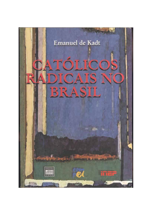